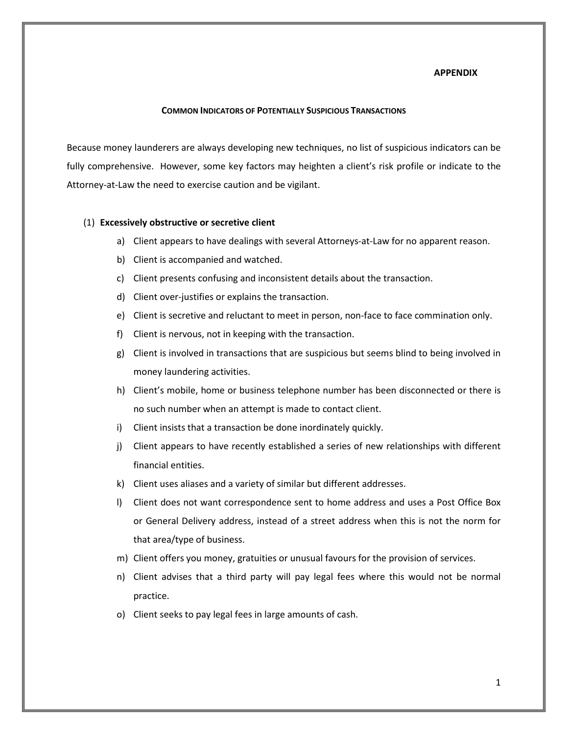#### **APPENDIX**

#### **COMMON INDICATORS OF POTENTIALLY SUSPICIOUS TRANSACTIONS**

Because money launderers are always developing new techniques, no list of suspicious indicators can be fully comprehensive. However, some key factors may heighten a client's risk profile or indicate to the Attorney-at-Law the need to exercise caution and be vigilant.

#### (1) **Excessively obstructive or secretive client**

- a) Client appears to have dealings with several Attorneys-at-Law for no apparent reason.
- b) Client is accompanied and watched.
- c) Client presents confusing and inconsistent details about the transaction.
- d) Client over-justifies or explains the transaction.
- e) Client is secretive and reluctant to meet in person, non-face to face commination only.
- f) Client is nervous, not in keeping with the transaction.
- g) Client is involved in transactions that are suspicious but seems blind to being involved in money laundering activities.
- h) Client's mobile, home or business telephone number has been disconnected or there is no such number when an attempt is made to contact client.
- i) Client insists that a transaction be done inordinately quickly.
- j) Client appears to have recently established a series of new relationships with different financial entities.
- k) Client uses aliases and a variety of similar but different addresses.
- l) Client does not want correspondence sent to home address and uses a Post Office Box or General Delivery address, instead of a street address when this is not the norm for that area/type of business.
- m) Client offers you money, gratuities or unusual favours for the provision of services.
- n) Client advises that a third party will pay legal fees where this would not be normal practice.
- o) Client seeks to pay legal fees in large amounts of cash.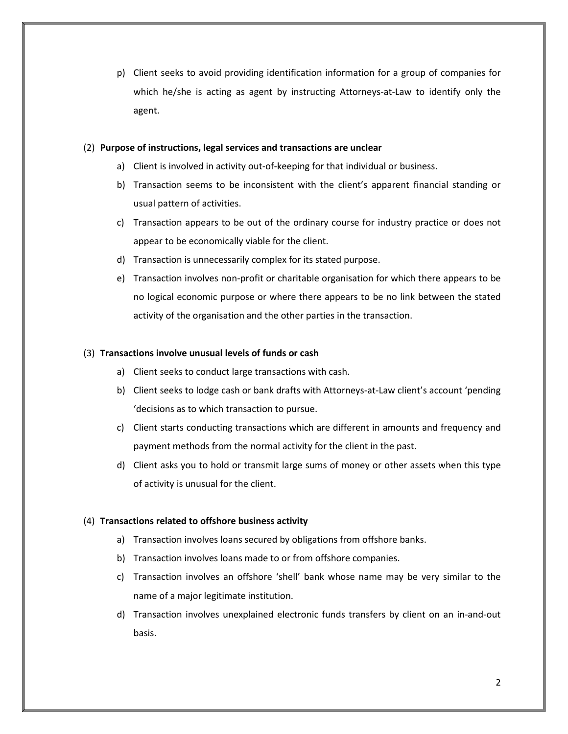p) Client seeks to avoid providing identification information for a group of companies for which he/she is acting as agent by instructing Attorneys-at-Law to identify only the agent.

## (2) **Purpose of instructions, legal services and transactions are unclear**

- a) Client is involved in activity out-of-keeping for that individual or business.
- b) Transaction seems to be inconsistent with the client's apparent financial standing or usual pattern of activities.
- c) Transaction appears to be out of the ordinary course for industry practice or does not appear to be economically viable for the client.
- d) Transaction is unnecessarily complex for its stated purpose.
- e) Transaction involves non-profit or charitable organisation for which there appears to be no logical economic purpose or where there appears to be no link between the stated activity of the organisation and the other parties in the transaction.

## (3) **Transactions involve unusual levels of funds or cash**

- a) Client seeks to conduct large transactions with cash.
- b) Client seeks to lodge cash or bank drafts with Attorneys-at-Law client's account 'pending 'decisions as to which transaction to pursue.
- c) Client starts conducting transactions which are different in amounts and frequency and payment methods from the normal activity for the client in the past.
- d) Client asks you to hold or transmit large sums of money or other assets when this type of activity is unusual for the client.

### (4) **Transactions related to offshore business activity**

- a) Transaction involves loans secured by obligations from offshore banks.
- b) Transaction involves loans made to or from offshore companies.
- c) Transaction involves an offshore 'shell' bank whose name may be very similar to the name of a major legitimate institution.
- d) Transaction involves unexplained electronic funds transfers by client on an in-and-out basis.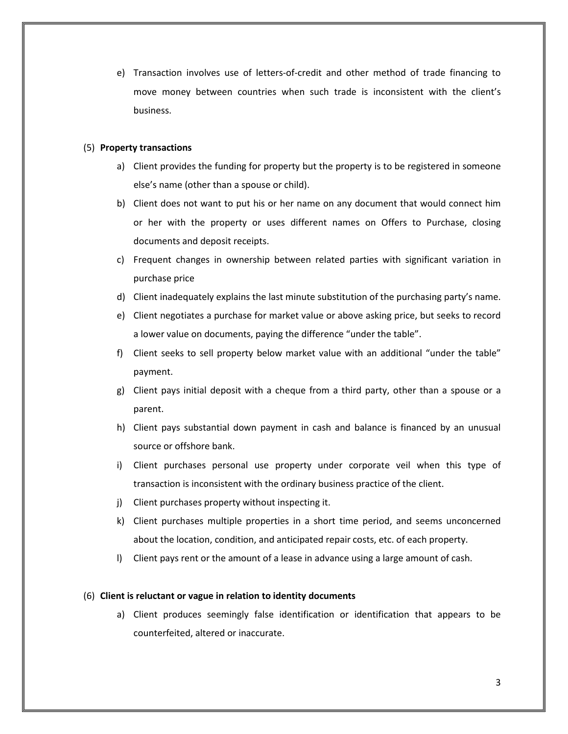e) Transaction involves use of letters-of-credit and other method of trade financing to move money between countries when such trade is inconsistent with the client's business.

## (5) **Property transactions**

- a) Client provides the funding for property but the property is to be registered in someone else's name (other than a spouse or child).
- b) Client does not want to put his or her name on any document that would connect him or her with the property or uses different names on Offers to Purchase, closing documents and deposit receipts.
- c) Frequent changes in ownership between related parties with significant variation in purchase price
- d) Client inadequately explains the last minute substitution of the purchasing party's name.
- e) Client negotiates a purchase for market value or above asking price, but seeks to record a lower value on documents, paying the difference "under the table".
- f) Client seeks to sell property below market value with an additional "under the table" payment.
- g) Client pays initial deposit with a cheque from a third party, other than a spouse or a parent.
- h) Client pays substantial down payment in cash and balance is financed by an unusual source or offshore bank.
- i) Client purchases personal use property under corporate veil when this type of transaction is inconsistent with the ordinary business practice of the client.
- j) Client purchases property without inspecting it.
- k) Client purchases multiple properties in a short time period, and seems unconcerned about the location, condition, and anticipated repair costs, etc. of each property.
- l) Client pays rent or the amount of a lease in advance using a large amount of cash.

### (6) **Client is reluctant or vague in relation to identity documents**

a) Client produces seemingly false identification or identification that appears to be counterfeited, altered or inaccurate.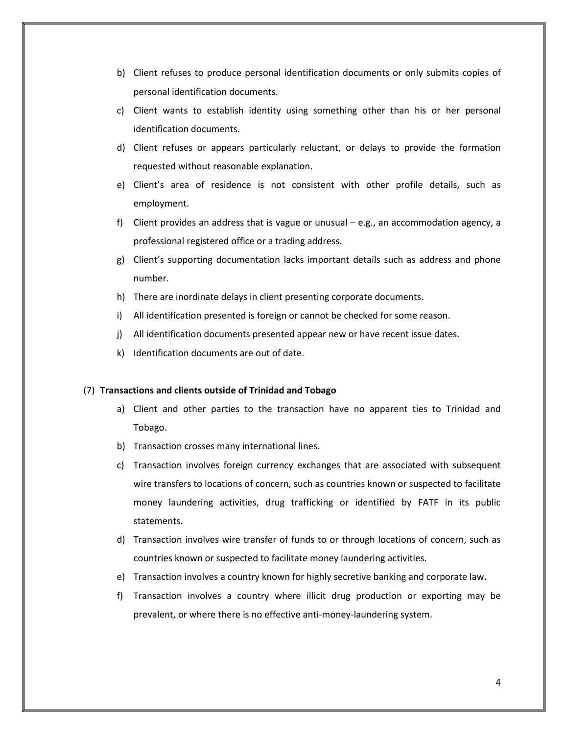- b) Client refuses to produce personal identification documents or only submits copies of personal identification documents.
- c) Client wants to establish identity using something other than his or her personal identification documents.
- d) Client refuses or appears particularly reluctant, or delays to provide the formation requested without reasonable explanation.
- e) Client's area of residence is not consistent with other profile details, such as employment.
- f) Client provides an address that is vague or unusual e.g., an accommodation agency, a professional registered office or a trading address.
- g) Client's supporting documentation lacks important details such as address and phone number.
- h) There are inordinate delays in client presenting corporate documents.
- i) All identification presented is foreign or cannot be checked for some reason.
- j) All identification documents presented appear new or have recent issue dates.
- k) Identification documents are out of date.

#### (7) **Transactions and clients outside of Trinidad and Tobago**

- a) Client and other parties to the transaction have no apparent ties to Trinidad and Tobago.
- b) Transaction crosses many international lines.
- c) Transaction involves foreign currency exchanges that are associated with subsequent wire transfers to locations of concern, such as countries known or suspected to facilitate money laundering activities, drug trafficking or identified by FATF in its public statements.
- d) Transaction involves wire transfer of funds to or through locations of concern, such as countries known or suspected to facilitate money laundering activities.
- e) Transaction involves a country known for highly secretive banking and corporate law.
- f) Transaction involves a country where illicit drug production or exporting may be prevalent, or where there is no effective anti-money-laundering system.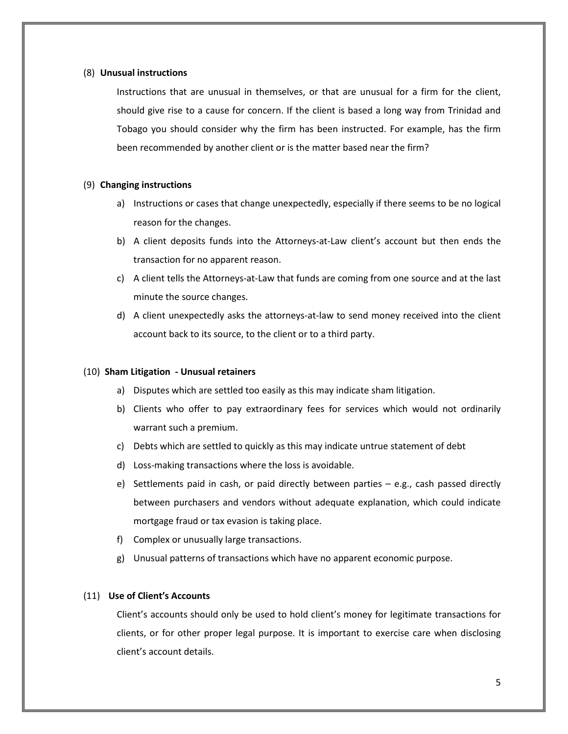### (8) **Unusual instructions**

Instructions that are unusual in themselves, or that are unusual for a firm for the client, should give rise to a cause for concern. If the client is based a long way from Trinidad and Tobago you should consider why the firm has been instructed. For example, has the firm been recommended by another client or is the matter based near the firm?

### (9) **Changing instructions**

- a) Instructions or cases that change unexpectedly, especially if there seems to be no logical reason for the changes.
- b) A client deposits funds into the Attorneys-at-Law client's account but then ends the transaction for no apparent reason.
- c) A client tells the Attorneys-at-Law that funds are coming from one source and at the last minute the source changes.
- d) A client unexpectedly asks the attorneys-at-law to send money received into the client account back to its source, to the client or to a third party.

### (10) **Sham Litigation - Unusual retainers**

- a) Disputes which are settled too easily as this may indicate sham litigation.
- b) Clients who offer to pay extraordinary fees for services which would not ordinarily warrant such a premium.
- c) Debts which are settled to quickly as this may indicate untrue statement of debt
- d) Loss-making transactions where the loss is avoidable.
- e) Settlements paid in cash, or paid directly between parties e.g., cash passed directly between purchasers and vendors without adequate explanation, which could indicate mortgage fraud or tax evasion is taking place.
- f) Complex or unusually large transactions.
- g) Unusual patterns of transactions which have no apparent economic purpose.

# (11) **Use of Client's Accounts**

Client's accounts should only be used to hold client's money for legitimate transactions for clients, or for other proper legal purpose. It is important to exercise care when disclosing client's account details.